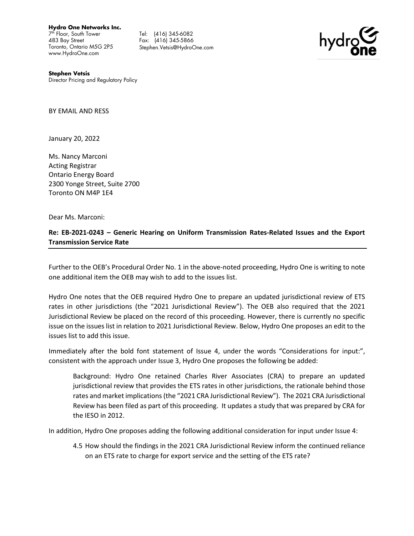**Hydro One Networks Inc.**

7 th Floor, South Tower 483 Bay Street Toronto, Ontario M5G 2P5 www.HydroOne.com

Fax: (416) 345-5866 Tel: (416) 345-6082 Fax: (416) 345-5866 Stephen.Vetsis@HydroOne.com



 **Stephen Vetsis** Director Pricing and Regulatory Policy

BY EMAIL AND RESS

January 20, 2022

Ms. Nancy Marconi Acting Registrar Ontario Energy Board 2300 Yonge Street, Suite 2700 Toronto ON M4P 1E4

Dear Ms. Marconi:

## **Re: EB-2021-0243 – Generic Hearing on Uniform Transmission Rates-Related Issues and the Export Transmission Service Rate**

Further to the OEB's Procedural Order No. 1 in the above-noted proceeding, Hydro One is writing to note one additional item the OEB may wish to add to the issues list.

Hydro One notes that the OEB required Hydro One to prepare an updated jurisdictional review of ETS rates in other jurisdictions (the "2021 Jurisdictional Review"). The OEB also required that the 2021 Jurisdictional Review be placed on the record of this proceeding. However, there is currently no specific issue on the issues list in relation to 2021 Jurisdictional Review. Below, Hydro One proposes an edit to the issues list to add this issue.

Immediately after the bold font statement of Issue 4, under the words "Considerations for input:", consistent with the approach under Issue 3, Hydro One proposes the following be added:

Background: Hydro One retained Charles River Associates (CRA) to prepare an updated jurisdictional review that provides the ETS rates in other jurisdictions, the rationale behind those rates and market implications (the "2021 CRA Jurisdictional Review"). The 2021 CRA Jurisdictional Review has been filed as part of this proceeding. It updates a study that was prepared by CRA for the IESO in 2012.

In addition, Hydro One proposes adding the following additional consideration for input under Issue 4:

4.5 How should the findings in the 2021 CRA Jurisdictional Review inform the continued reliance on an ETS rate to charge for export service and the setting of the ETS rate?